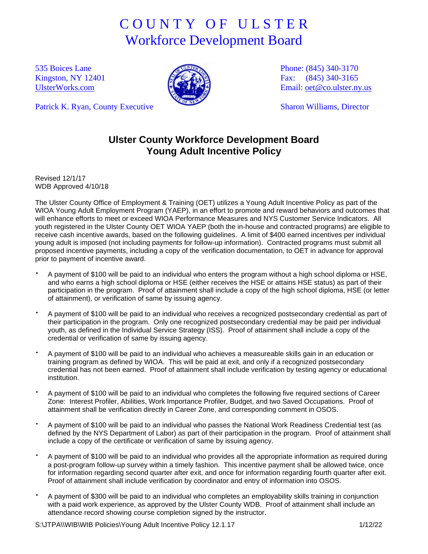## C O U N T Y O F U L S T E R Workforce Development Board

535 Boices Lane Kingston, NY 12401 [UlsterWorks.com](http://www.ulsterworks.com/)

Patrick K. Ryan, County Executive



Phone: (845) 340-3170 Fax: (845) 340-3165 Email: [oet@co.ulster.ny.us](mailto:oet@co.ulster.ny.us)

Sharon Williams, Director

## **Ulster County Workforce Development Board Young Adult Incentive Policy**

Revised 12/1/17 WDB Approved 4/10/18

The Ulster County Office of Employment & Training (OET) utilizes a Young Adult Incentive Policy as part of the WIOA Young Adult Employment Program (YAEP), in an effort to promote and reward behaviors and outcomes that will enhance efforts to meet or exceed WIOA Performance Measures and NYS Customer Service Indicators. All youth registered in the Ulster County OET WIOA YAEP (both the in-house and contracted programs) are eligible to receive cash incentive awards, based on the following guidelines. A limit of \$400 earned incentives per individual young adult is imposed (not including payments for follow-up information). Contracted programs must submit all proposed incentive payments, including a copy of the verification documentation, to OET in advance for approval prior to payment of incentive award.

- A payment of \$100 will be paid to an individual who enters the program without a high school diploma or HSE, and who earns a high school diploma or HSE (either receives the HSE or attains HSE status) as part of their participation in the program. Proof of attainment shall include a copy of the high school diploma, HSE (or letter of attainment), or verification of same by issuing agency.
- A payment of \$100 will be paid to an individual who receives a recognized postsecondary credential as part of their participation in the program. Only one recognized postsecondary credential may be paid per individual youth, as defined in the Individual Service Strategy (ISS). Proof of attainment shall include a copy of the credential or verification of same by issuing agency.
- A payment of \$100 will be paid to an individual who achieves a measureable skills gain in an education or training program as defined by WIOA. This will be paid at exit, and only if a recognized postsecondary credential has not been earned. Proof of attainment shall include verification by testing agency or educational institution.
- A payment of \$100 will be paid to an individual who completes the following five required sections of Career Zone: Interest Profiler, Abilities, Work Importance Profiler, Budget, and two Saved Occupations. Proof of attainment shall be verification directly in Career Zone, and corresponding comment in OSOS.
- A payment of \$100 will be paid to an individual who passes the National Work Readiness Credential test (as defined by the NYS Department of Labor) as part of their participation in the program. Proof of attainment shall include a copy of the certificate or verification of same by issuing agency.
- A payment of \$100 will be paid to an individual who provides all the appropriate information as required during a post-program follow-up survey within a timely fashion. This incentive payment shall be allowed twice, once for information regarding second quarter after exit, and once for information regarding fourth quarter after exit. Proof of attainment shall include verification by coordinator and entry of information into OSOS.
- A payment of \$300 will be paid to an individual who completes an employability skills training in conjunction with a paid work experience, as approved by the Ulster County WDB. Proof of attainment shall include an attendance record showing course completion signed by the instructor.